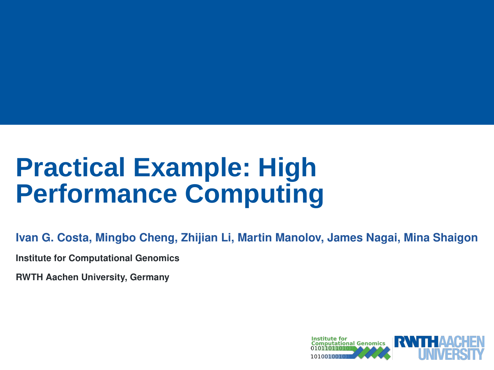# **Practical Example: High Performance Computing**

**Ivan G. Costa, Mingbo Cheng, Zhijian Li, Martin Manolov, James Nagai, Mina Shaigon**

**Institute for Computational Genomics**

**RWTH Aachen University, Germany**

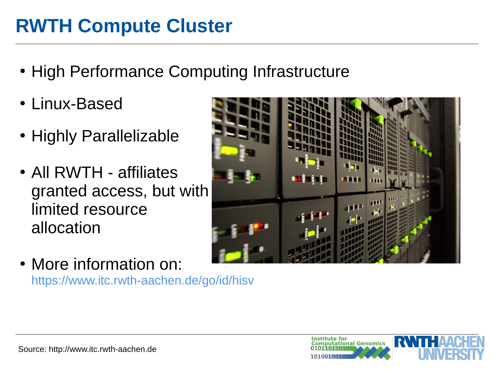## **RWTH Compute Cluster**

- High Performance Computing Infrastructure
- Linux-Based
- Highly Parallelizable
- All RWTH affiliates granted access, but with limited resource allocation



• More information on: <https://www.itc.rwth-aachen.de/go/id/hisv>

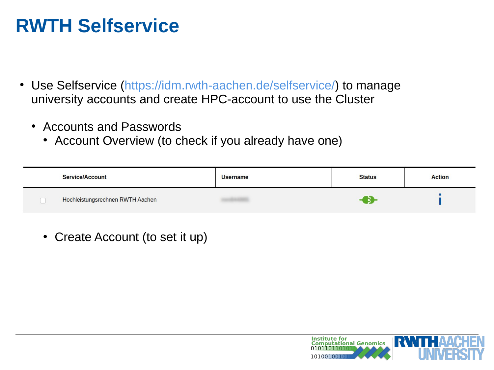## **RWTH Selfservice**

- Use Selfservice ([https://idm.rwth-aachen.de/selfservice/\)](https://idm.rwth-aachen.de/selfservice/) to manage university accounts and create HPC-account to use the Cluster
	- Accounts and Passwords
		- Account Overview (to check if you already have one)

| <b>Service/Account</b>           | <b>Username</b> | <b>Status</b> | <b>Action</b> |
|----------------------------------|-----------------|---------------|---------------|
| Hochleistungsrechnen RWTH Aachen |                 |               |               |

• Create Account (to set it up)

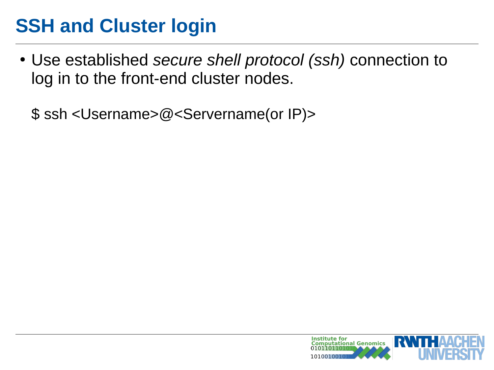● Use established *secure shell protocol (ssh)* connection to log in to the front-end cluster nodes.

\$ ssh <Username>@<Servername(or IP)>

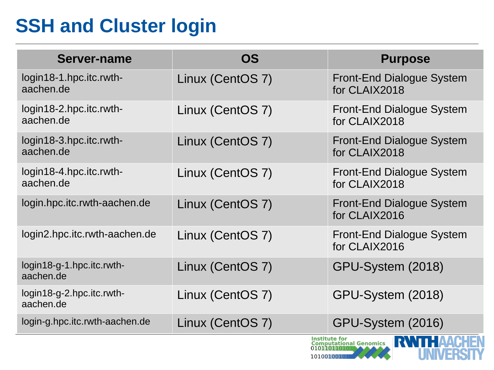| Server-name                            | <b>OS</b>        | <b>Purpose</b>                                                         |
|----------------------------------------|------------------|------------------------------------------------------------------------|
| login18-1.hpc.itc.rwth-<br>aachen.de   | Linux (CentOS 7) | Front-End Dialogue System<br>for CLAIX2018                             |
| login18-2.hpc.itc.rwth-<br>aachen.de   | Linux (CentOS 7) | Front-End Dialogue System<br>for CLAIX2018                             |
| login18-3.hpc.itc.rwth-<br>aachen.de   | Linux (CentOS 7) | Front-End Dialogue System<br>for CLAIX2018                             |
| login18-4.hpc.itc.rwth-<br>aachen.de   | Linux (CentOS 7) | Front-End Dialogue System<br>for CLAIX2018                             |
| login.hpc.itc.rwth-aachen.de           | Linux (CentOS 7) | Front-End Dialogue System<br>for CLAIX2016                             |
| login2.hpc.itc.rwth-aachen.de          | Linux (CentOS 7) | Front-End Dialogue System<br>for CLAIX2016                             |
| login18-g-1.hpc.itc.rwth-<br>aachen.de | Linux (CentOS 7) | GPU-System (2018)                                                      |
| login18-g-2.hpc.itc.rwth-<br>aachen.de | Linux (CentOS 7) | GPU-System (2018)                                                      |
| login-g.hpc.itc.rwth-aachen.de         | Linux (CentOS 7) | GPU-System (2016)                                                      |
|                                        |                  | <b>Institute for<br/>Computational Genomics</b><br>RWHHA<br>0101101101 |

101001001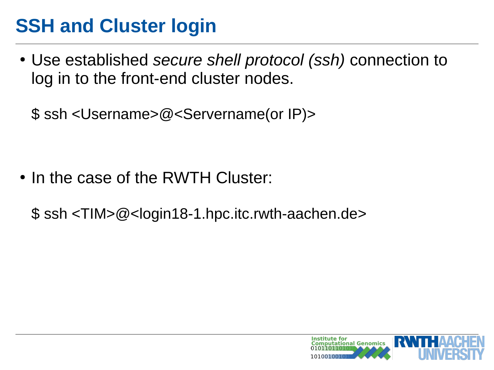● Use established *secure shell protocol (ssh)* connection to log in to the front-end cluster nodes.

\$ ssh <Username>@<Servername(or IP)>

• In the case of the RWTH Cluster:

\$ ssh <TIM>@<login18-1.hpc.itc.rwth-aachen.de>

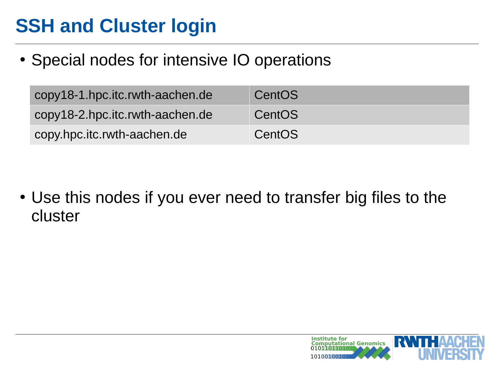• Special nodes for intensive IO operations

| copy18-1.hpc.itc.rwth-aachen.de | CentOS |
|---------------------------------|--------|
| copy18-2.hpc.itc.rwth-aachen.de | CentOS |
| copy.hpc.itc.rwth-aachen.de     | CentOS |

• Use this nodes if you ever need to transfer big files to the cluster

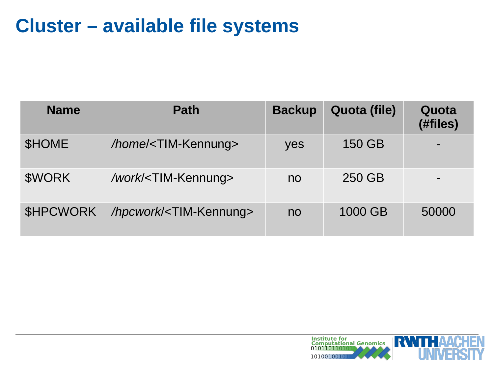| <b>Name</b>      | <b>Path</b>                           | <b>Backup</b>  | Quota (file) | Quota<br>(#files) |
|------------------|---------------------------------------|----------------|--------------|-------------------|
| <b>SHOME</b>     | /home/ <tim-kennung></tim-kennung>    | yes            | 150 GB       |                   |
| \$WORK           | /work/ <tim-kennung></tim-kennung>    | no             | 250 GB       |                   |
| <b>\$HPCWORK</b> | /hpcwork/ <tim-kennung></tim-kennung> | n <sub>o</sub> | 1000 GB      | 50000             |

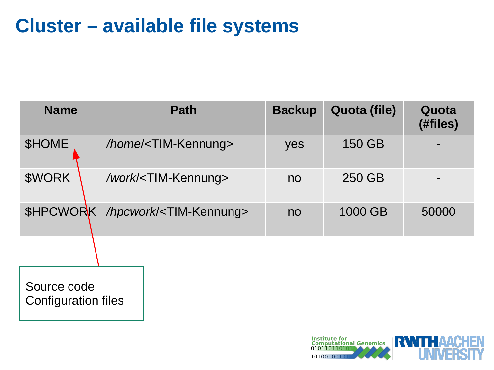| <b>Name</b>                        | <b>Path</b>                                     | <b>Backup</b>  | Quota (file) | Quota<br>(#files) |
|------------------------------------|-------------------------------------------------|----------------|--------------|-------------------|
| \$HOME                             | /home/ <tim-kennung></tim-kennung>              | yes            | 150 GB       |                   |
| \$WORK                             | /work/ <tim-kennung></tim-kennung>              | n <sub>o</sub> | 250 GB       |                   |
|                                    | \$HPCWORK /hpcwork/ <tim-kennung></tim-kennung> | n <sub>o</sub> | 1000 GB      | 50000             |
|                                    |                                                 |                |              |                   |
| Source code<br>Configuration files |                                                 |                |              |                   |

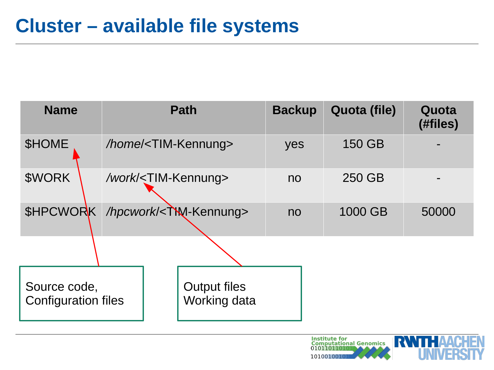| <b>Name</b>                                     |                                    | <b>Path</b>                         | <b>Backup</b>  | Quota (file) | Quota<br>(#files) |
|-------------------------------------------------|------------------------------------|-------------------------------------|----------------|--------------|-------------------|
| <b>SHOME</b>                                    | /home/ <tim-kennung></tim-kennung> |                                     | yes            | 150 GB       |                   |
| \$WORK                                          | /work/ <tim-kennung></tim-kennung> |                                     | no             | 250 GB       |                   |
| \$HPCWORK /hpcwork/ <twi-kennung></twi-kennung> |                                    |                                     | n <sub>o</sub> | 1000 GB      | 50000             |
|                                                 |                                    |                                     |                |              |                   |
| Source code,<br><b>Configuration files</b>      |                                    | <b>Output files</b><br>Working data |                |              |                   |

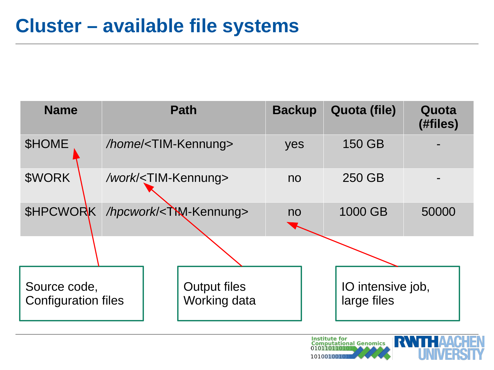| <b>Name</b>                                     |                                    | <b>Path</b>                         | <b>Backup</b>  | Quota (file)                     | Quota<br>(#files) |
|-------------------------------------------------|------------------------------------|-------------------------------------|----------------|----------------------------------|-------------------|
| <b>SHOME</b>                                    | /home/ <tim-kennung></tim-kennung> |                                     | yes            | 150 GB                           |                   |
| \$WORK                                          | /work/ <tim-kennung></tim-kennung> |                                     | n <sub>o</sub> | 250 GB                           |                   |
| \$HPCWORK /hpcwork/ <twi-kennung></twi-kennung> |                                    |                                     | n <sub>o</sub> | 1000 GB                          | 50000             |
|                                                 |                                    |                                     |                |                                  |                   |
| Source code,<br><b>Configuration files</b>      |                                    | <b>Output files</b><br>Working data |                | IO intensive job,<br>large files |                   |

**Institute for<br>Computational Genomics<br>010110110101**  $\mathbf{r}$ 101001001

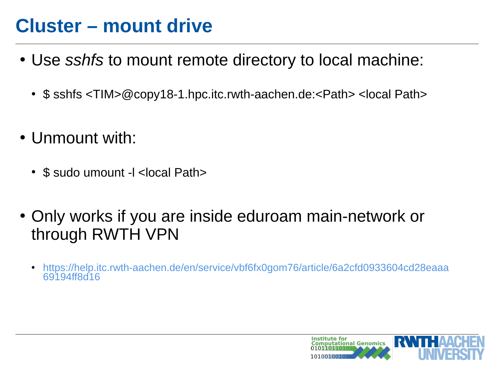## **Cluster – mount drive**

- Use *sshfs* to mount remote directory to local machine:
	- $\frac{1}{2}$  sshfs  $\langle$ TIM $\rangle$ @copy18-1.hpc.itc.rwth-aachen.de: $\langle$ Path $\rangle$   $\langle$ local Path $\rangle$
- Unmount with:
	- \$ sudo umount -l <local Path>
- Only works if you are inside eduroam main-network or through RWTH VPN
	- [https://help.itc.rwth-aachen.de/en/service/vbf6fx0gom76/article/6a2cfd0933604cd28eaaa](https://help.itc.rwth-aachen.de/en/service/vbf6fx0gom76/article/6a2cfd0933604cd28eaaa69194ff8d16) [69194ff8d16](https://help.itc.rwth-aachen.de/en/service/vbf6fx0gom76/article/6a2cfd0933604cd28eaaa69194ff8d16)

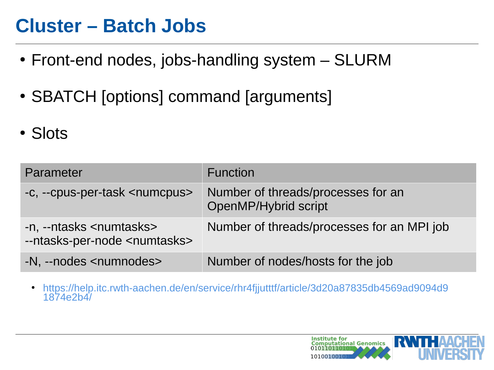#### **Cluster – Batch Jobs**

- Front-end nodes, jobs-handling system SLURM
- SBATCH [options] command [arguments]
- Slots

| Parameter                                                                      | <b>Function</b>                                            |
|--------------------------------------------------------------------------------|------------------------------------------------------------|
| -c, --cpus-per-task <numcpus></numcpus>                                        | Number of threads/processes for an<br>OpenMP/Hybrid script |
| -n, --ntasks <numtasks><br/>--ntasks-per-node <numtasks></numtasks></numtasks> | Number of threads/processes for an MPI job                 |
| -N, --nodes <numnodes></numnodes>                                              | Number of nodes/hosts for the job                          |

● [https://help.itc.rwth-aachen.de/en/service/rhr4fjjutttf/article/3d20a87835db4569ad9094d9](https://help.itc.rwth-aachen.de/en/service/rhr4fjjutttf/article/3d20a87835db4569ad9094d91874e2b4/) [1874e2b4/](https://help.itc.rwth-aachen.de/en/service/rhr4fjjutttf/article/3d20a87835db4569ad9094d91874e2b4/)

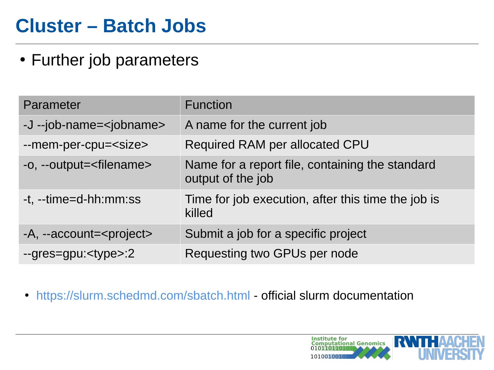## **Cluster – Batch Jobs**

• Further job parameters

| Parameter                           | <b>Function</b>                                                      |
|-------------------------------------|----------------------------------------------------------------------|
| -J --job-name= <jobname></jobname>  | A name for the current job                                           |
| --mem-per-cpu= <size></size>        | Required RAM per allocated CPU                                       |
| -o, --output= <filename></filename> | Name for a report file, containing the standard<br>output of the job |
| -t, --time=d-hh:mm:ss               | Time for job execution, after this time the job is<br>killed         |
| -A, --account= <project></project>  | Submit a job for a specific project                                  |
| $-qres = gpu: < type > 2$           | Requesting two GPUs per node                                         |

• <https://slurm.schedmd.com/sbatch.html> - official slurm documentation

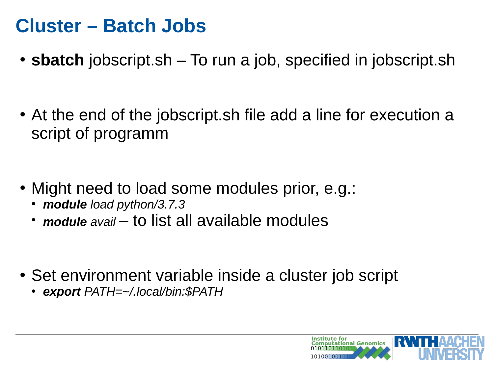#### **Cluster – Batch Jobs**

- **sbatch** jobscript.sh To run a job, specified in jobscript.sh
- At the end of the jobscript.sh file add a line for execution a script of programm
- Might need to load some modules prior, e.g.:
	- *module load python/3.7.3*
	- *module* avail to list all available modules
- Set environment variable inside a cluster job script
	- *export PATH=~/.local/bin:\$PATH*

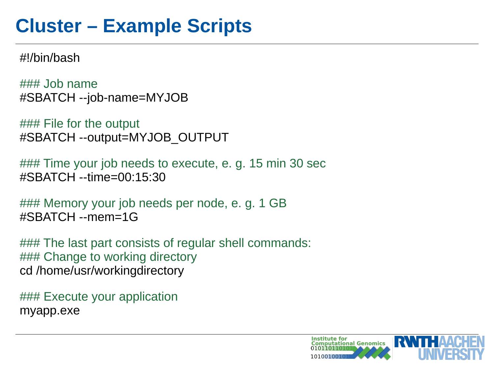## **Cluster – Example Scripts**

#!/bin/bash

 $\# \# \#$  Job name #SBATCH --job-name=MYJOB

### File for the output #SBATCH --output=MYJOB\_OUTPUT

### Time your job needs to execute, e. g. 15 min 30 sec #SBATCH --time=00:15:30

### Memory your job needs per node, e. g. 1 GB #SBATCH --mem=1G

### The last part consists of regular shell commands: ### Change to working directory cd /home/usr/workingdirectory

### Execute your application myapp.exe

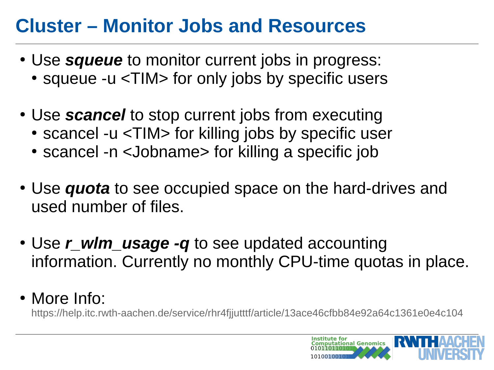## **Cluster – Monitor Jobs and Resources**

- Use *squeue* to monitor current jobs in progress: • squeue -u <TIM> for only jobs by specific users
- Use *scancel* to stop current jobs from executing
	- scancel -u <TIM> for killing jobs by specific user
	- scancel -n <Jobname> for killing a specific job
- Use *quota* to see occupied space on the hard-drives and used number of files.
- Use *r* wlm\_usage -q to see updated accounting information. Currently no monthly CPU-time quotas in place.
- More Info:

<https://help.itc.rwth-aachen.de/service/rhr4fjjutttf/article/13ace46cfbb84e92a64c1361e0e4c104>

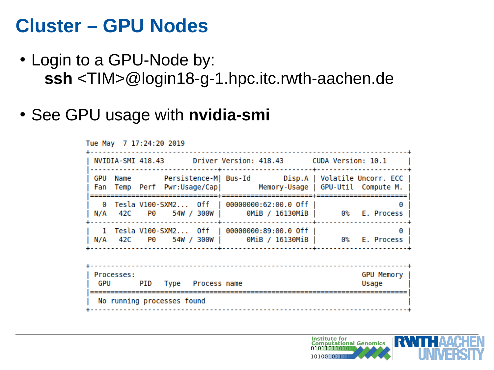- Login to a GPU-Node by: **ssh** <TIM>@login18-g-1.hpc.itc.rwth-aachen.de
- See GPU usage with **nvidia-smi**

Tue May 7 17:24:20 2019 NVIDIA-SMI 418.43 Driver Version: 418.43 CUDA Version: 10.1 GPU Name Persistence-M| Bus-Id Disp.A | Volatile Uncorr. ECC | Fan Temp Perf Pwr:Usage/Cap| Memory-Usage | GPU-Util Compute M. 1 Tesla V100-SXM2... Off | 00000000:89:00.0 Off | N/A 42C P0 54W/300W | 0MiB/16130MiB | 0% E. Process GPU Memory Processes: PID Type Process name Usage GPU No running processes found 

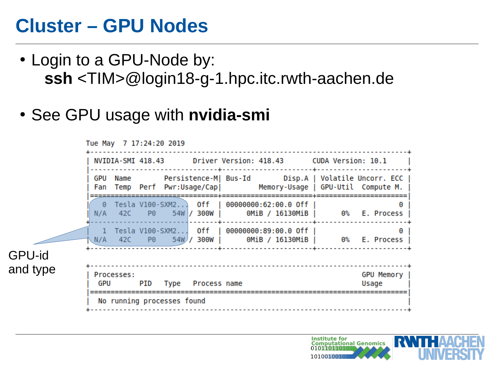- Login to a GPU-Node by: **ssh** <TIM>@login18-g-1.hpc.itc.rwth-aachen.de
- See GPU usage with **nvidia-smi**

|          |                                                             | Tue May 7 17:24:20 2019                                         |  |                            |  |  |  |                                              |                                                                     |
|----------|-------------------------------------------------------------|-----------------------------------------------------------------|--|----------------------------|--|--|--|----------------------------------------------|---------------------------------------------------------------------|
|          | NVIDIA-SMI 418.43 Driver Version: 418.43 CUDA Version: 10.1 |                                                                 |  |                            |  |  |  |                                              |                                                                     |
|          |                                                             | Fan Temp Perf Pwr:Usage/Cap  Memory-Usage   GPU-Util Compute M. |  |                            |  |  |  |                                              |                                                                     |
|          |                                                             |                                                                 |  |                            |  |  |  | 0 Tesla V100-SXM2 Off   00000000:62:00.0 Off | A<br>N/A 42C P0 54W / 300W   0MiB / 16130MiB   0% E. Process        |
|          |                                                             |                                                                 |  |                            |  |  |  | 1 Tesla V100-SXM2 Off   00000000:89:00.0 Off | $\bullet$<br>N/A 42C P0 54W/ 300W   0MiB / 16130MiB   0% E. Process |
| GPU-id   |                                                             |                                                                 |  |                            |  |  |  |                                              |                                                                     |
| and type |                                                             | Processes:<br>GPU PID                                           |  | Type Process name          |  |  |  |                                              | GPU Memory  <br>Usage                                               |
|          |                                                             |                                                                 |  | No running processes found |  |  |  |                                              |                                                                     |

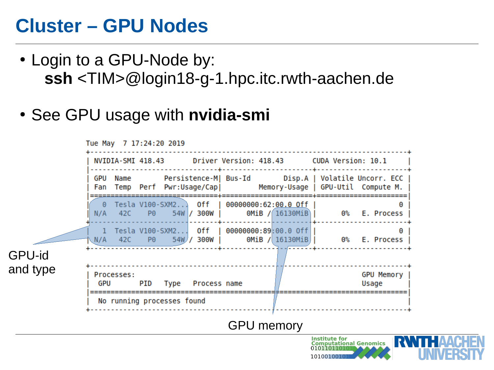- Login to a GPU-Node by: **ssh** <TIM>@login18-g-1.hpc.itc.rwth-aachen.de
- See GPU usage with **nvidia-smi**

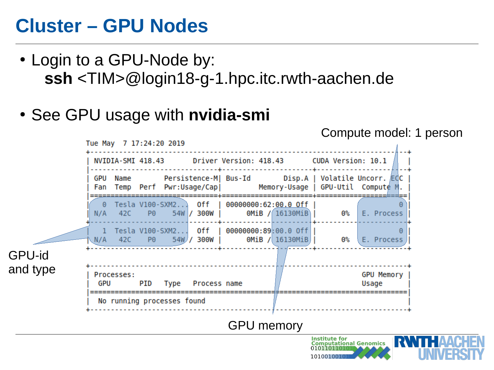- Login to a GPU-Node by: **ssh** <TIM>@login18-g-1.hpc.itc.rwth-aachen.de
- See GPU usage with **nvidia-smi**

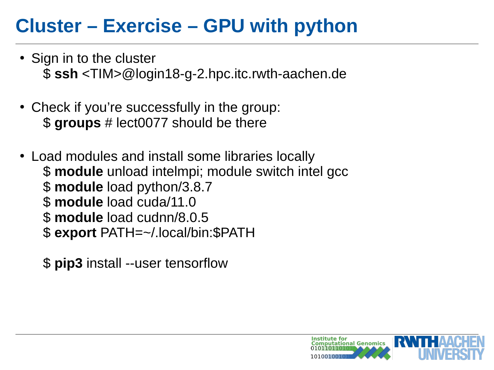## **Cluster – Exercise – GPU with python**

- Sign in to the cluster \$ **ssh** <TIM>@login18-g-2.hpc.itc.rwth-aachen.de
- Check if you're successfully in the group: \$ **groups** # lect0077 should be there
- Load modules and install some libraries locally \$ **module** unload intelmpi; module switch intel gcc \$ **module** load python/3.8.7 \$ **module** load cuda/11.0 \$ **module** load cudnn/8.0.5 \$ **export** PATH=~/.local/bin:\$PATH
	- \$ **pip3** install --user tensorflow

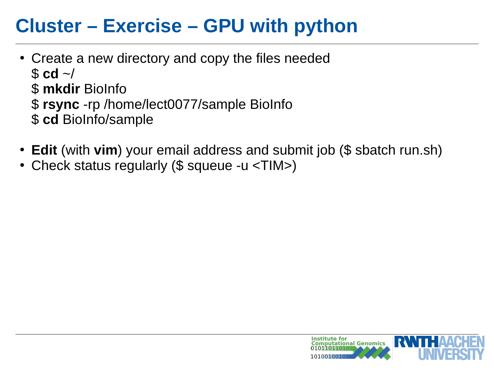## **Cluster – Exercise – GPU with python**

- Create a new directory and copy the files needed  $$ \text{cd}$  ~/ \$ **mkdir** BioInfo \$ **rsync** -rp /home/lect0077/sample BioInfo \$ **cd** BioInfo/sample
- **Edit** (with **vim**) your email address and submit job (\$ sbatch run.sh)
- Check status regularly (\$ squeue -u <TIM>)

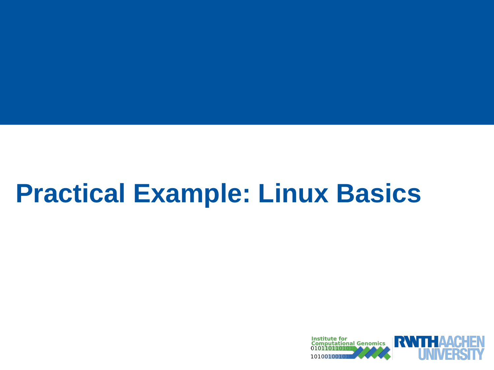# **Practical Example: Linux Basics**

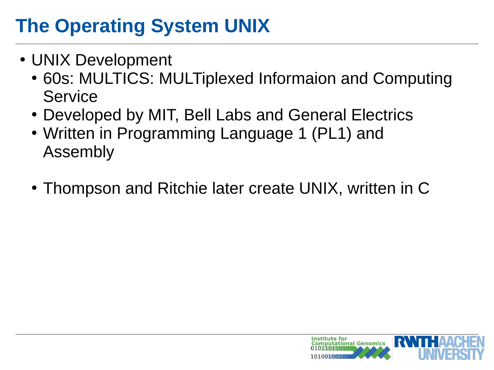# **The Operating System UNIX**

- UNIX Development
	- 60s: MULTICS: MULTiplexed Informaion and Computing **Service**
	- Developed by MIT, Bell Labs and General Electrics
	- Written in Programming Language 1 (PL1) and Assembly
	- Thompson and Ritchie later create UNIX, written in C

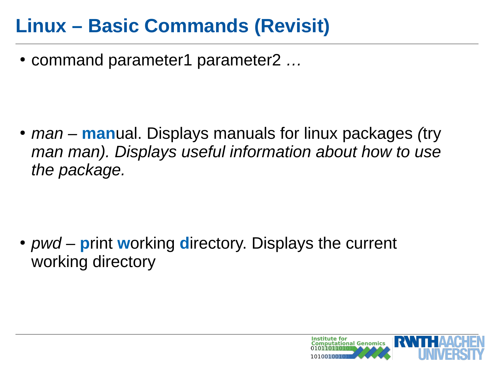● command parameter1 parameter2 *…*

● *man –* **man**ual. Displays manuals for linux packages *(*try *man man). Displays useful information about how to use the package.*

• *pwd* – **print working directory. Displays the current** working directory

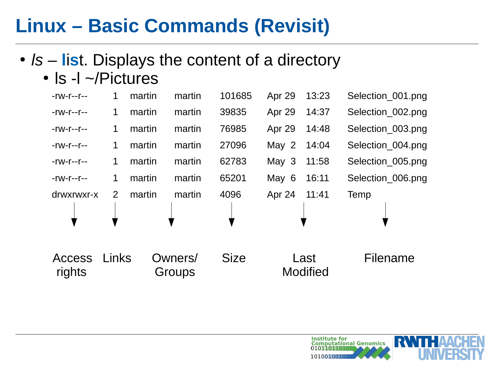- *ls* **list**. Displays the content of a directory
	- $\cdot$  ls -l  $\sim$ /Pictures

| $-rw-r-r-r-$            | $\mathbf{1}$   | martin | martin            | 101685      | Apr 29  | 13:23                   | Selection 001.png |
|-------------------------|----------------|--------|-------------------|-------------|---------|-------------------------|-------------------|
| $-rw-r-r-$              | $\mathbf{1}$   | martin | martin            | 39835       | Apr 29  | 14:37                   | Selection 002.png |
| $-rw-r-r-$              | $\mathbf{1}$   | martin | martin            | 76985       | Apr 29  | 14:48                   | Selection 003.png |
| -rw-r--r--              | $\mathbf{1}$   | martin | martin            | 27096       | May 2   | 14:04                   | Selection 004.png |
| $-rw-r-r-$              | $\mathbf 1$    | martin | martin            | 62783       | May $3$ | 11:58                   | Selection 005.png |
| $-rw-r-r-$              | $\mathbf{1}$   | martin | martin            | 65201       | May 6   | 16:11                   | Selection 006.png |
| drwxrwxr-x              | $\overline{2}$ | martin | martin            | 4096        | Apr 24  | 11:41                   | Temp              |
| <b>Access</b><br>rights | Links          |        | Owners/<br>Groups | <b>Size</b> |         | Last<br><b>Modified</b> | Filename          |

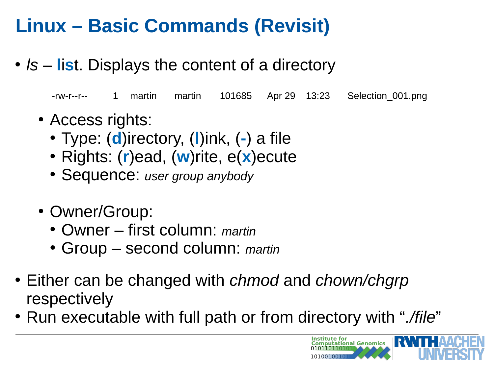• *ls* – **list**. Displays the content of a directory

-rw-r--r-- 1 martin martin 101685 Apr 29 13:23 Selection\_001.png

- Access rights:
	- Type: (**d**)irectory, (**l**)ink, (**-**) a file
	- Rights: (**r**)ead, (**w**)rite, e(**x**)ecute
	- Sequence: *user group anybody*
- Owner/Group:
	- Owner first column: *martin*
	- Group second column: *martin*
- Either can be changed with *chmod* and *chown/chgrp* respectively
- Run executable with full path or from directory with "*./file*"

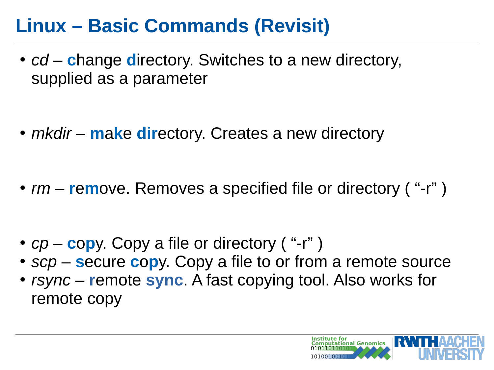- *cd* **c**hange **d**irectory. Switches to a new directory, supplied as a parameter
- *mkdir* **make directory.** Creates a new directory
- *rm* **remo**ve. Removes a specified file or directory ( "-r")
- *cp* **c**opy. Copy a file or directory ( "-r")
- $scp -$ **secure copy.** Copy a file to or from a remote source
- *rsync* **r**emote **sync**. A fast copying tool. Also works for remote copy

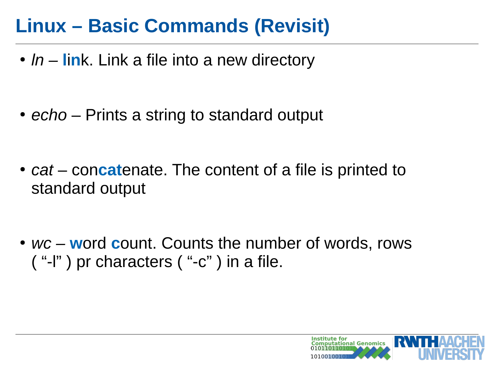- *ln* **lin**k. Link a file into a new directory
- *echo* Prints a string to standard output
- *cat* concatenate. The content of a file is printed to standard output
- *wc –* word count. Counts the number of words, rows ( "-l" ) pr characters ( "-c" ) in a file.

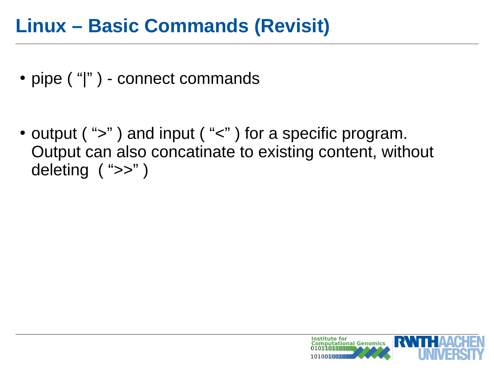- pipe ("|") connect commands
- output (" $>$ ") and input (" $<$ ") for a specific program. Output can also concatinate to existing content, without deleting ( ">>" )

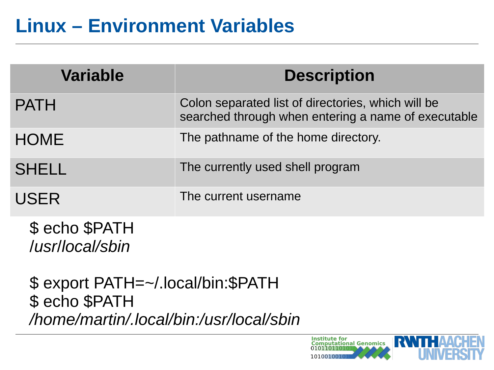## **Linux – Environment Variables**

| <b>Variable</b> | <b>Description</b>                                                                                        |
|-----------------|-----------------------------------------------------------------------------------------------------------|
| <b>PATH</b>     | Colon separated list of directories, which will be<br>searched through when entering a name of executable |
| <b>HOME</b>     | The pathname of the home directory.                                                                       |
| <b>SHELL</b>    | The currently used shell program                                                                          |
| <b>USER</b>     | The current username                                                                                      |
| $\rightarrow$   |                                                                                                           |

\$ echo \$PATH /*usr*/*local/sbin*

\$ export PATH=~/.local/bin:\$PATH \$ echo \$PATH */home/martin/.local/bin:/usr/local/sbin*

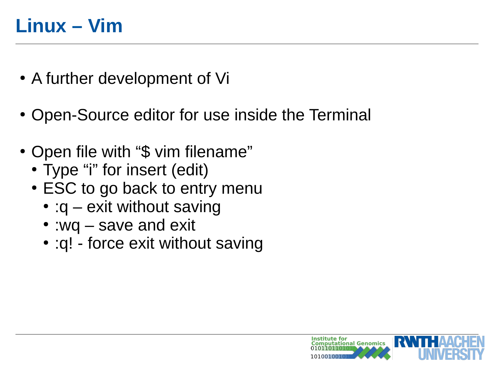- A further development of Vi
- Open-Source editor for use inside the Terminal
- Open file with "\$ vim filename"
	- Type "i" for insert (edit)
	- ESC to go back to entry menu
		- : $q$  exit without saving
		- :wq save and exit
		- :q! force exit without saving